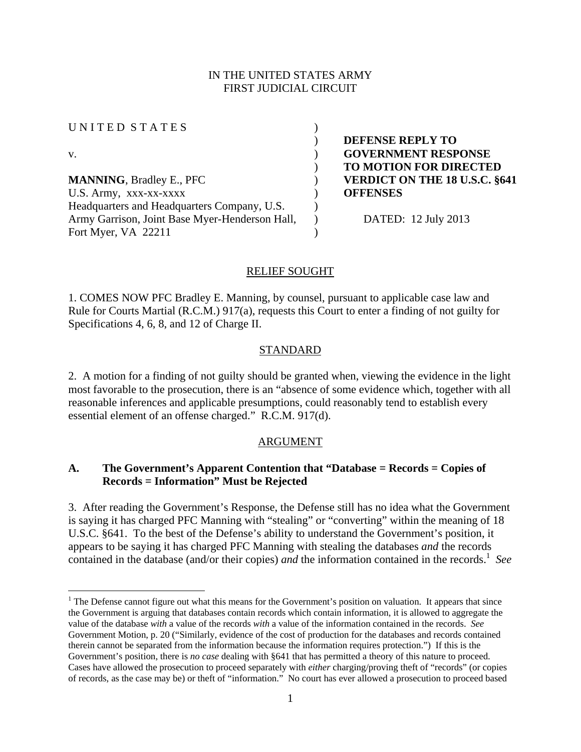## IN THE UNITED STATES ARMY FIRST JUDICIAL CIRCUIT

U N I T E D S T A T E S )

 $\overline{a}$ 

**MANNING**, Bradley E., PFC **) VERDICT ON THE 18 U.S.C. §641** U.S. Army, xxx-xx-xxxx **department OFFENSES** Headquarters and Headquarters Company, U.S. Army Garrison, Joint Base Myer-Henderson Hall, Fort Myer, VA 22211

 ) **DEFENSE REPLY TO**  v. ) **GOVERNMENT RESPONSE**  ) **TO MOTION FOR DIRECTED** 

) DATED: 12 July 2013

## RELIEF SOUGHT

)

 $\lambda$ 

1. COMES NOW PFC Bradley E. Manning, by counsel, pursuant to applicable case law and Rule for Courts Martial (R.C.M.) 917(a), requests this Court to enter a finding of not guilty for Specifications 4, 6, 8, and 12 of Charge II.

## STANDARD

2. A motion for a finding of not guilty should be granted when, viewing the evidence in the light most favorable to the prosecution, there is an "absence of some evidence which, together with all reasonable inferences and applicable presumptions, could reasonably tend to establish every essential element of an offense charged." R.C.M. 917(d).

# ARGUMENT

## **A. The Government's Apparent Contention that "Database = Records = Copies of Records = Information" Must be Rejected**

3. After reading the Government's Response, the Defense still has no idea what the Government is saying it has charged PFC Manning with "stealing" or "converting" within the meaning of 18 U.S.C. §641. To the best of the Defense's ability to understand the Government's position, it appears to be saying it has charged PFC Manning with stealing the databases *and* the records contained in the database (and/or their copies) and the information contained in the records.<sup>1</sup> See

 $<sup>1</sup>$  The Defense cannot figure out what this means for the Government's position on valuation. It appears that since</sup> the Government is arguing that databases contain records which contain information, it is allowed to aggregate the value of the database *with* a value of the records *with* a value of the information contained in the records. *See*  Government Motion, p. 20 ("Similarly, evidence of the cost of production for the databases and records contained therein cannot be separated from the information because the information requires protection.") If this is the Government's position, there is *no case* dealing with §641 that has permitted a theory of this nature to proceed. Cases have allowed the prosecution to proceed separately with *either* charging/proving theft of "records" (or copies of records, as the case may be) or theft of "information." No court has ever allowed a prosecution to proceed based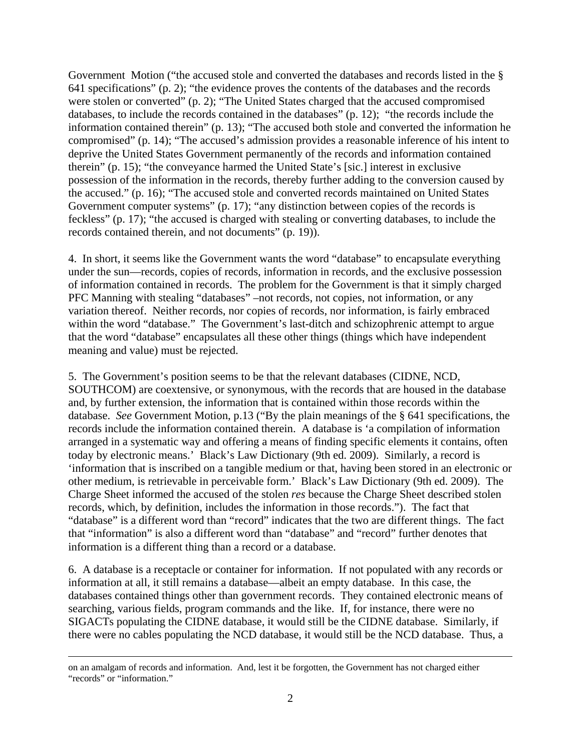Government Motion ("the accused stole and converted the databases and records listed in the § 641 specifications" (p. 2); "the evidence proves the contents of the databases and the records were stolen or converted" (p. 2); "The United States charged that the accused compromised databases, to include the records contained in the databases" (p. 12); "the records include the information contained therein" (p. 13); "The accused both stole and converted the information he compromised" (p. 14); "The accused's admission provides a reasonable inference of his intent to deprive the United States Government permanently of the records and information contained therein" (p. 15); "the conveyance harmed the United State's [sic.] interest in exclusive possession of the information in the records, thereby further adding to the conversion caused by the accused." (p. 16); "The accused stole and converted records maintained on United States Government computer systems" (p. 17); "any distinction between copies of the records is feckless" (p. 17); "the accused is charged with stealing or converting databases, to include the records contained therein, and not documents" (p. 19)).

4. In short, it seems like the Government wants the word "database" to encapsulate everything under the sun—records, copies of records, information in records, and the exclusive possession of information contained in records. The problem for the Government is that it simply charged PFC Manning with stealing "databases" –not records, not copies, not information, or any variation thereof. Neither records, nor copies of records, nor information, is fairly embraced within the word "database." The Government's last-ditch and schizophrenic attempt to argue that the word "database" encapsulates all these other things (things which have independent meaning and value) must be rejected.

5. The Government's position seems to be that the relevant databases (CIDNE, NCD, SOUTHCOM) are coextensive, or synonymous, with the records that are housed in the database and, by further extension, the information that is contained within those records within the database. *See* Government Motion, p.13 ("By the plain meanings of the § 641 specifications, the records include the information contained therein. A database is 'a compilation of information arranged in a systematic way and offering a means of finding specific elements it contains, often today by electronic means.' Black's Law Dictionary (9th ed. 2009). Similarly, a record is 'information that is inscribed on a tangible medium or that, having been stored in an electronic or other medium, is retrievable in perceivable form.' Black's Law Dictionary (9th ed. 2009). The Charge Sheet informed the accused of the stolen *res* because the Charge Sheet described stolen records, which, by definition, includes the information in those records."). The fact that "database" is a different word than "record" indicates that the two are different things. The fact that "information" is also a different word than "database" and "record" further denotes that information is a different thing than a record or a database.

6. A database is a receptacle or container for information. If not populated with any records or information at all, it still remains a database—albeit an empty database. In this case, the databases contained things other than government records. They contained electronic means of searching, various fields, program commands and the like. If, for instance, there were no SIGACTs populating the CIDNE database, it would still be the CIDNE database. Similarly, if there were no cables populating the NCD database, it would still be the NCD database. Thus, a

on an amalgam of records and information. And, lest it be forgotten, the Government has not charged either "records" or "information."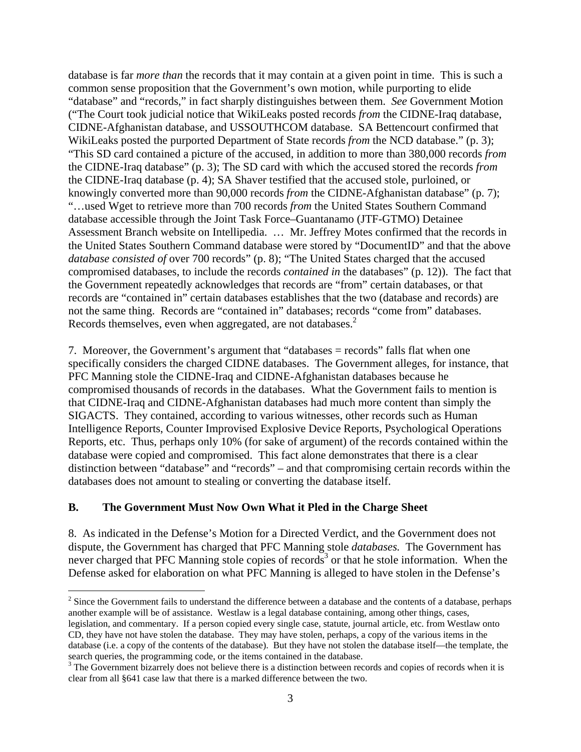database is far *more than* the records that it may contain at a given point in time. This is such a common sense proposition that the Government's own motion, while purporting to elide "database" and "records," in fact sharply distinguishes between them. *See* Government Motion ("The Court took judicial notice that WikiLeaks posted records *from* the CIDNE-Iraq database, CIDNE-Afghanistan database, and USSOUTHCOM database. SA Bettencourt confirmed that WikiLeaks posted the purported Department of State records *from* the NCD database." (p. 3); "This SD card contained a picture of the accused, in addition to more than 380,000 records *from* the CIDNE-Iraq database" (p. 3); The SD card with which the accused stored the records *from* the CIDNE-Iraq database (p. 4); SA Shaver testified that the accused stole, purloined, or knowingly converted more than 90,000 records *from* the CIDNE-Afghanistan database" (p. 7); "…used Wget to retrieve more than 700 records *from* the United States Southern Command database accessible through the Joint Task Force–Guantanamo (JTF-GTMO) Detainee Assessment Branch website on Intellipedia. … Mr. Jeffrey Motes confirmed that the records in the United States Southern Command database were stored by "DocumentID" and that the above *database consisted of over 700 records*" (p. 8); "The United States charged that the accused compromised databases, to include the records *contained in* the databases" (p. 12)). The fact that the Government repeatedly acknowledges that records are "from" certain databases, or that records are "contained in" certain databases establishes that the two (database and records) are not the same thing. Records are "contained in" databases; records "come from" databases. Records themselves, even when aggregated, are not databases.<sup>2</sup>

7. Moreover, the Government's argument that "databases = records" falls flat when one specifically considers the charged CIDNE databases. The Government alleges, for instance, that PFC Manning stole the CIDNE-Iraq and CIDNE-Afghanistan databases because he compromised thousands of records in the databases. What the Government fails to mention is that CIDNE-Iraq and CIDNE-Afghanistan databases had much more content than simply the SIGACTS. They contained, according to various witnesses, other records such as Human Intelligence Reports, Counter Improvised Explosive Device Reports, Psychological Operations Reports, etc. Thus, perhaps only 10% (for sake of argument) of the records contained within the database were copied and compromised. This fact alone demonstrates that there is a clear distinction between "database" and "records" – and that compromising certain records within the databases does not amount to stealing or converting the database itself.

## **B. The Government Must Now Own What it Pled in the Charge Sheet**

 $\overline{a}$ 

8. As indicated in the Defense's Motion for a Directed Verdict, and the Government does not dispute, the Government has charged that PFC Manning stole *databases.* The Government has never charged that PFC Manning stole copies of records<sup>3</sup> or that he stole information. When the Defense asked for elaboration on what PFC Manning is alleged to have stolen in the Defense's

 $2^2$  Since the Government fails to understand the difference between a database and the contents of a database, perhaps another example will be of assistance. Westlaw is a legal database containing, among other things, cases, legislation, and commentary. If a person copied every single case, statute, journal article, etc. from Westlaw onto CD, they have not have stolen the database. They may have stolen, perhaps, a copy of the various items in the database (i.e. a copy of the contents of the database). But they have not stolen the database itself—the template, the search queries, the programming code, or the items contained in the database.

 $3$  The Government bizarrely does not believe there is a distinction between records and copies of records when it is clear from all §641 case law that there is a marked difference between the two.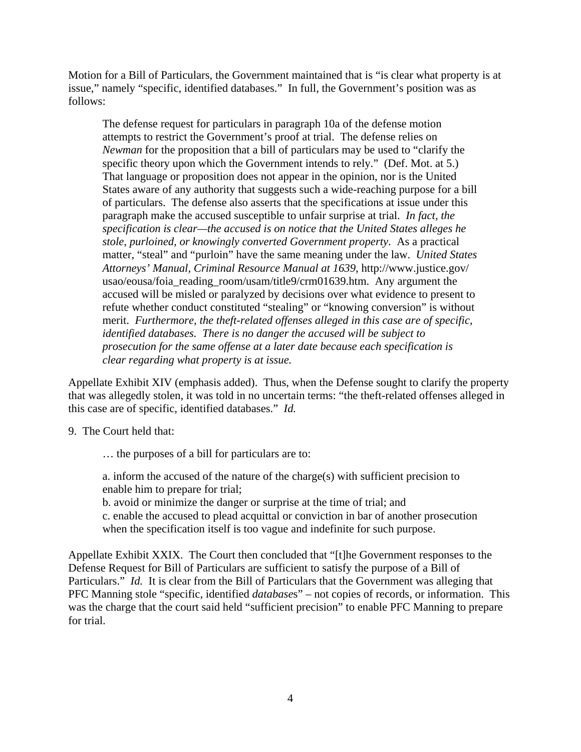Motion for a Bill of Particulars, the Government maintained that is "is clear what property is at issue," namely "specific, identified databases." In full, the Government's position was as follows:

The defense request for particulars in paragraph 10a of the defense motion attempts to restrict the Government's proof at trial. The defense relies on *Newman* for the proposition that a bill of particulars may be used to "clarify the specific theory upon which the Government intends to rely." (Def. Mot. at 5.) That language or proposition does not appear in the opinion, nor is the United States aware of any authority that suggests such a wide-reaching purpose for a bill of particulars. The defense also asserts that the specifications at issue under this paragraph make the accused susceptible to unfair surprise at trial. *In fact, the specification is clear—the accused is on notice that the United States alleges he stole, purloined, or knowingly converted Government property*. As a practical matter, "steal" and "purloin" have the same meaning under the law. *United States Attorneys' Manual, Criminal Resource Manual at 1639*, http://www.justice.gov/ usao/eousa/foia\_reading\_room/usam/title9/crm01639.htm. Any argument the accused will be misled or paralyzed by decisions over what evidence to present to refute whether conduct constituted "stealing" or "knowing conversion" is without merit. *Furthermore, the theft-related offenses alleged in this case are of specific, identified databases. There is no danger the accused will be subject to prosecution for the same offense at a later date because each specification is clear regarding what property is at issue.*

Appellate Exhibit XIV (emphasis added). Thus, when the Defense sought to clarify the property that was allegedly stolen, it was told in no uncertain terms: "the theft-related offenses alleged in this case are of specific, identified databases." *Id.* 

9. The Court held that:

… the purposes of a bill for particulars are to:

a. inform the accused of the nature of the charge(s) with sufficient precision to enable him to prepare for trial;

b. avoid or minimize the danger or surprise at the time of trial; and

c. enable the accused to plead acquittal or conviction in bar of another prosecution when the specification itself is too vague and indefinite for such purpose.

Appellate Exhibit XXIX. The Court then concluded that "[t]he Government responses to the Defense Request for Bill of Particulars are sufficient to satisfy the purpose of a Bill of Particulars." *Id.* It is clear from the Bill of Particulars that the Government was alleging that PFC Manning stole "specific, identified *database*s" – not copies of records, or information. This was the charge that the court said held "sufficient precision" to enable PFC Manning to prepare for trial.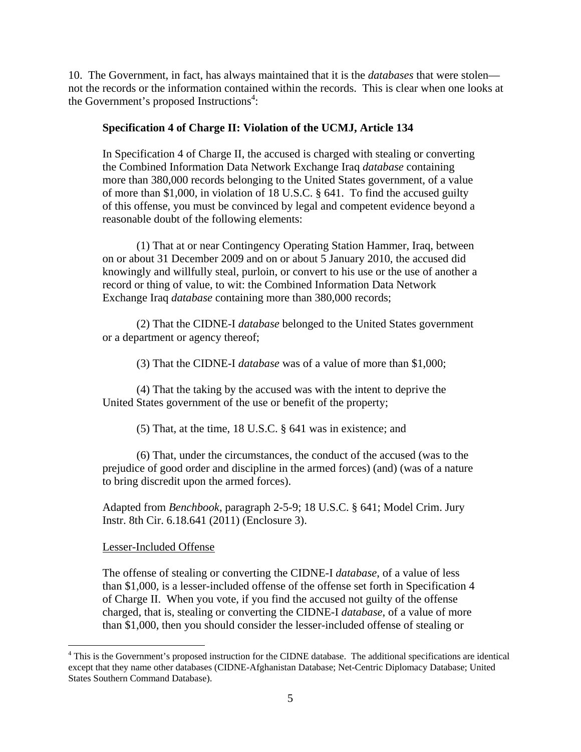10. The Government, in fact, has always maintained that it is the *databases* that were stolen not the records or the information contained within the records. This is clear when one looks at the Government's proposed Instructions<sup>4</sup>:

#### **Specification 4 of Charge II: Violation of the UCMJ, Article 134**

In Specification 4 of Charge II, the accused is charged with stealing or converting the Combined Information Data Network Exchange Iraq *database* containing more than 380,000 records belonging to the United States government, of a value of more than \$1,000, in violation of 18 U.S.C. § 641. To find the accused guilty of this offense, you must be convinced by legal and competent evidence beyond a reasonable doubt of the following elements:

 (1) That at or near Contingency Operating Station Hammer, Iraq, between on or about 31 December 2009 and on or about 5 January 2010, the accused did knowingly and willfully steal, purloin, or convert to his use or the use of another a record or thing of value, to wit: the Combined Information Data Network Exchange Iraq *database* containing more than 380,000 records;

 (2) That the CIDNE-I *database* belonged to the United States government or a department or agency thereof;

(3) That the CIDNE-I *database* was of a value of more than \$1,000;

 (4) That the taking by the accused was with the intent to deprive the United States government of the use or benefit of the property;

(5) That, at the time, 18 U.S.C. § 641 was in existence; and

 (6) That, under the circumstances, the conduct of the accused (was to the prejudice of good order and discipline in the armed forces) (and) (was of a nature to bring discredit upon the armed forces).

Adapted from *Benchbook*, paragraph 2-5-9; 18 U.S.C. § 641; Model Crim. Jury Instr. 8th Cir. 6.18.641 (2011) (Enclosure 3).

#### Lesser-Included Offense

1

The offense of stealing or converting the CIDNE-I *database*, of a value of less than \$1,000, is a lesser-included offense of the offense set forth in Specification 4 of Charge II. When you vote, if you find the accused not guilty of the offense charged, that is, stealing or converting the CIDNE-I *database*, of a value of more than \$1,000, then you should consider the lesser-included offense of stealing or

<sup>&</sup>lt;sup>4</sup> This is the Government's proposed instruction for the CIDNE database. The additional specifications are identical except that they name other databases (CIDNE-Afghanistan Database; Net-Centric Diplomacy Database; United States Southern Command Database).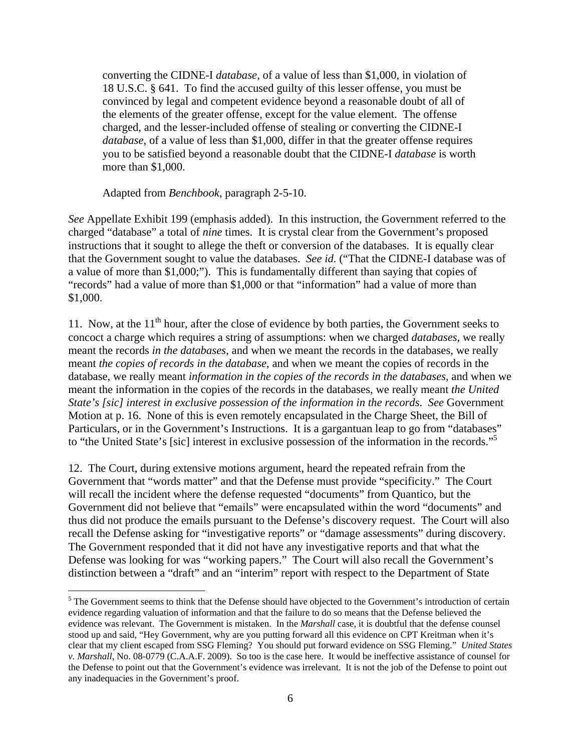converting the CIDNE-I *database*, of a value of less than \$1,000, in violation of 18 U.S.C. § 641. To find the accused guilty of this lesser offense, you must be convinced by legal and competent evidence beyond a reasonable doubt of all of the elements of the greater offense, except for the value element. The offense charged, and the lesser-included offense of stealing or converting the CIDNE-I *database*, of a value of less than \$1,000, differ in that the greater offense requires you to be satisfied beyond a reasonable doubt that the CIDNE-I *database* is worth more than \$1,000.

Adapted from *Benchbook*, paragraph 2-5-10.

 $\overline{a}$ 

*See* Appellate Exhibit 199 (emphasis added). In this instruction, the Government referred to the charged "database" a total of *nine* times. It is crystal clear from the Government's proposed instructions that it sought to allege the theft or conversion of the databases. It is equally clear that the Government sought to value the databases. *See id.* ("That the CIDNE-I database was of a value of more than \$1,000;"). This is fundamentally different than saying that copies of "records" had a value of more than \$1,000 or that "information" had a value of more than \$1,000.

11. Now, at the  $11<sup>th</sup>$  hour, after the close of evidence by both parties, the Government seeks to concoct a charge which requires a string of assumptions: when we charged *databases*, we really meant the records *in the databases*, and when we meant the records in the databases, we really meant *the copies of records in the database*, and when we meant the copies of records in the database, we really meant *information in the copies of the records in the databases*, and when we meant the information in the copies of the records in the databases, we really meant *the United State's [sic] interest in exclusive possession of the information in the records*. *See* Government Motion at p. 16. None of this is even remotely encapsulated in the Charge Sheet, the Bill of Particulars, or in the Government's Instructions. It is a gargantuan leap to go from "databases" to "the United State's [sic] interest in exclusive possession of the information in the records."5

12. The Court, during extensive motions argument, heard the repeated refrain from the Government that "words matter" and that the Defense must provide "specificity." The Court will recall the incident where the defense requested "documents" from Quantico, but the Government did not believe that "emails" were encapsulated within the word "documents" and thus did not produce the emails pursuant to the Defense's discovery request. The Court will also recall the Defense asking for "investigative reports" or "damage assessments" during discovery. The Government responded that it did not have any investigative reports and that what the Defense was looking for was "working papers." The Court will also recall the Government's distinction between a "draft" and an "interim" report with respect to the Department of State

<sup>&</sup>lt;sup>5</sup> The Government seems to think that the Defense should have objected to the Government's introduction of certain evidence regarding valuation of information and that the failure to do so means that the Defense believed the evidence was relevant. The Government is mistaken. In the *Marshall* case, it is doubtful that the defense counsel stood up and said, "Hey Government, why are you putting forward all this evidence on CPT Kreitman when it's clear that my client escaped from SSG Fleming? You should put forward evidence on SSG Fleming." *United States v. Marshall*, No. 08-0779 (C.A.A.F. 2009). So too is the case here. It would be ineffective assistance of counsel for the Defense to point out that the Government's evidence was irrelevant. It is not the job of the Defense to point out any inadequacies in the Government's proof.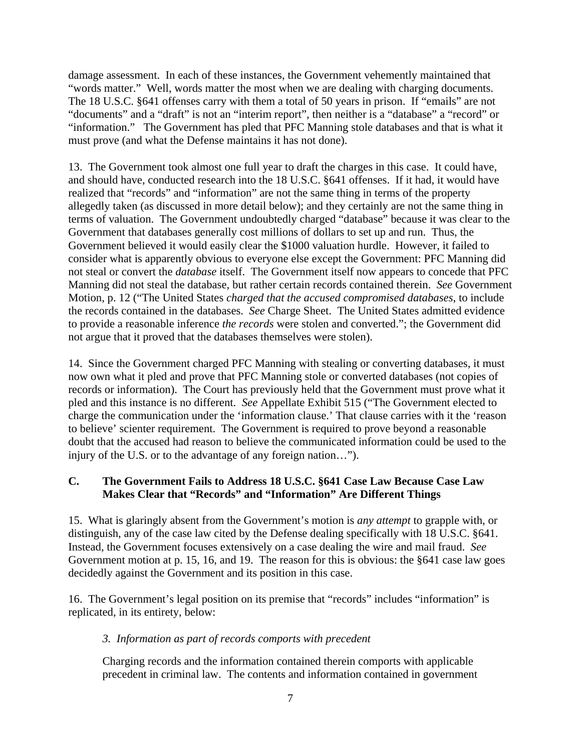damage assessment. In each of these instances, the Government vehemently maintained that "words matter." Well, words matter the most when we are dealing with charging documents. The 18 U.S.C. §641 offenses carry with them a total of 50 years in prison. If "emails" are not "documents" and a "draft" is not an "interim report", then neither is a "database" a "record" or "information." The Government has pled that PFC Manning stole databases and that is what it must prove (and what the Defense maintains it has not done).

13. The Government took almost one full year to draft the charges in this case. It could have, and should have, conducted research into the 18 U.S.C. §641 offenses. If it had, it would have realized that "records" and "information" are not the same thing in terms of the property allegedly taken (as discussed in more detail below); and they certainly are not the same thing in terms of valuation. The Government undoubtedly charged "database" because it was clear to the Government that databases generally cost millions of dollars to set up and run. Thus, the Government believed it would easily clear the \$1000 valuation hurdle. However, it failed to consider what is apparently obvious to everyone else except the Government: PFC Manning did not steal or convert the *database* itself. The Government itself now appears to concede that PFC Manning did not steal the database, but rather certain records contained therein. *See* Government Motion, p. 12 ("The United States *charged that the accused compromised databases*, to include the records contained in the databases. *See* Charge Sheet. The United States admitted evidence to provide a reasonable inference *the records* were stolen and converted."; the Government did not argue that it proved that the databases themselves were stolen).

14. Since the Government charged PFC Manning with stealing or converting databases, it must now own what it pled and prove that PFC Manning stole or converted databases (not copies of records or information). The Court has previously held that the Government must prove what it pled and this instance is no different. *See* Appellate Exhibit 515 ("The Government elected to charge the communication under the 'information clause.' That clause carries with it the 'reason to believe' scienter requirement. The Government is required to prove beyond a reasonable doubt that the accused had reason to believe the communicated information could be used to the injury of the U.S. or to the advantage of any foreign nation…").

# **C. The Government Fails to Address 18 U.S.C. §641 Case Law Because Case Law Makes Clear that "Records" and "Information" Are Different Things**

15. What is glaringly absent from the Government's motion is *any attempt* to grapple with, or distinguish, any of the case law cited by the Defense dealing specifically with 18 U.S.C. §641. Instead, the Government focuses extensively on a case dealing the wire and mail fraud. *See*  Government motion at p. 15, 16, and 19. The reason for this is obvious: the §641 case law goes decidedly against the Government and its position in this case.

16. The Government's legal position on its premise that "records" includes "information" is replicated, in its entirety, below:

# *3. Information as part of records comports with precedent*

Charging records and the information contained therein comports with applicable precedent in criminal law. The contents and information contained in government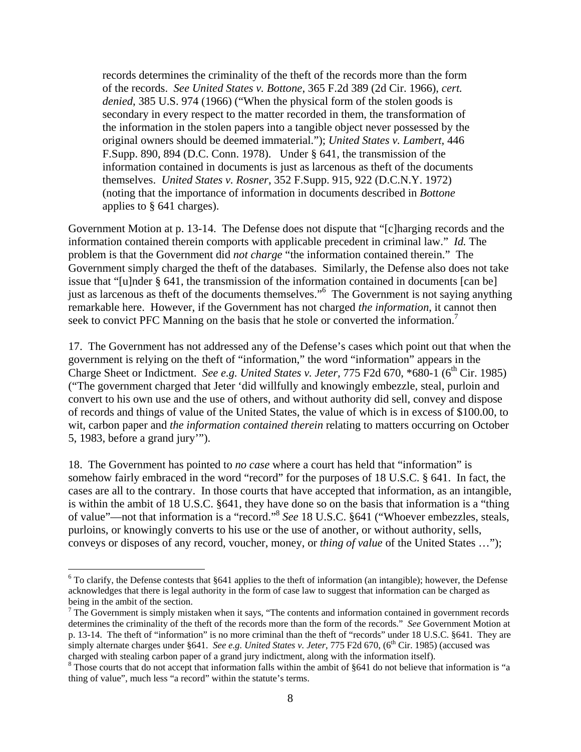records determines the criminality of the theft of the records more than the form of the records. *See United States v. Bottone*, 365 F.2d 389 (2d Cir. 1966), *cert. denied*, 385 U.S. 974 (1966) ("When the physical form of the stolen goods is secondary in every respect to the matter recorded in them, the transformation of the information in the stolen papers into a tangible object never possessed by the original owners should be deemed immaterial."); *United States v. Lambert*, 446 F.Supp. 890, 894 (D.C. Conn. 1978). Under § 641, the transmission of the information contained in documents is just as larcenous as theft of the documents themselves. *United States v. Rosner*, 352 F.Supp. 915, 922 (D.C.N.Y. 1972) (noting that the importance of information in documents described in *Bottone* applies to § 641 charges).

Government Motion at p. 13-14. The Defense does not dispute that "[c]harging records and the information contained therein comports with applicable precedent in criminal law." *Id.* The problem is that the Government did *not charge* "the information contained therein." The Government simply charged the theft of the databases. Similarly, the Defense also does not take issue that "[u]nder § 641, the transmission of the information contained in documents [can be] just as larcenous as theft of the documents themselves."<sup>6</sup> The Government is not saying anything remarkable here. However, if the Government has not charged *the information*, it cannot then seek to convict PFC Manning on the basis that he stole or converted the information.<sup>7</sup>

17. The Government has not addressed any of the Defense's cases which point out that when the government is relying on the theft of "information," the word "information" appears in the Charge Sheet or Indictment. *See e.g. United States v. Jeter,* 775 F2d 670, \*680-1 (6<sup>th</sup> Cir. 1985) ("The government charged that Jeter 'did willfully and knowingly embezzle, steal, purloin and convert to his own use and the use of others, and without authority did sell, convey and dispose of records and things of value of the United States, the value of which is in excess of \$100.00, to wit, carbon paper and *the information contained therein* relating to matters occurring on October 5, 1983, before a grand jury'").

18. The Government has pointed to *no case* where a court has held that "information" is somehow fairly embraced in the word "record" for the purposes of 18 U.S.C. § 641. In fact, the cases are all to the contrary. In those courts that have accepted that information, as an intangible, is within the ambit of 18 U.S.C. §641, they have done so on the basis that information is a "thing of value"—not that information is a "record."8 *See* 18 U.S.C. §641 ("Whoever embezzles, steals, purloins, or knowingly converts to his use or the use of another, or without authority, sells, conveys or disposes of any record, voucher, money, or *thing of value* of the United States …");

 $\overline{a}$ 

 $6$  To clarify, the Defense contests that §641 applies to the theft of information (an intangible); however, the Defense acknowledges that there is legal authority in the form of case law to suggest that information can be charged as being in the ambit of the section.

 $7$  The Government is simply mistaken when it says, "The contents and information contained in government records determines the criminality of the theft of the records more than the form of the records." *See* Government Motion at p. 13-14. The theft of "information" is no more criminal than the theft of "records" under 18 U.S.C. §641. They are simply alternate charges under §641. *See e.g. United States v. Jeter*, 775 F2d 670, (6<sup>th</sup> Cir. 1985) (accused was charged with stealing carbon paper of a grand jury indictment, along with the information itself).

Those courts that do not accept that information falls within the ambit of §641 do not believe that information is "a thing of value", much less "a record" within the statute's terms.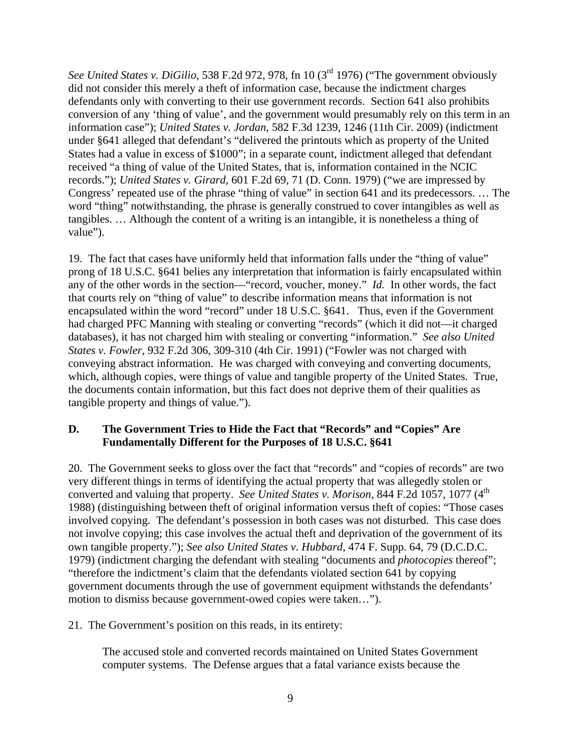*See United States v. DiGilio*, 538 F.2d 972, 978, fn 10 (3rd 1976) ("The government obviously did not consider this merely a theft of information case, because the indictment charges defendants only with converting to their use government records. Section 641 also prohibits conversion of any 'thing of value', and the government would presumably rely on this term in an information case"); *United States v. Jordan*, 582 F.3d 1239, 1246 (11th Cir. 2009) (indictment under §641 alleged that defendant's "delivered the printouts which as property of the United States had a value in excess of \$1000"; in a separate count, indictment alleged that defendant received "a thing of value of the United States, that is, information contained in the NCIC records."); *United States v. Girard*, 601 F.2d 69, 71 (D. Conn. 1979) ("we are impressed by Congress' repeated use of the phrase "thing of value" in section 641 and its predecessors. … The word "thing" notwithstanding, the phrase is generally construed to cover intangibles as well as tangibles. … Although the content of a writing is an intangible, it is nonetheless a thing of value").

19. The fact that cases have uniformly held that information falls under the "thing of value" prong of 18 U.S.C. §641 belies any interpretation that information is fairly encapsulated within any of the other words in the section—"record, voucher, money." *Id.* In other words, the fact that courts rely on "thing of value" to describe information means that information is not encapsulated within the word "record" under 18 U.S.C. §641. Thus, even if the Government had charged PFC Manning with stealing or converting "records" (which it did not—it charged databases), it has not charged him with stealing or converting "information." *See also United States v. Fowler*, 932 F.2d 306, 309-310 (4th Cir. 1991) ("Fowler was not charged with conveying abstract information. He was charged with conveying and converting documents, which, although copies, were things of value and tangible property of the United States. True, the documents contain information, but this fact does not deprive them of their qualities as tangible property and things of value.").

## **D. The Government Tries to Hide the Fact that "Records" and "Copies" Are Fundamentally Different for the Purposes of 18 U.S.C. §641**

20. The Government seeks to gloss over the fact that "records" and "copies of records" are two very different things in terms of identifying the actual property that was allegedly stolen or converted and valuing that property. *See United States v. Morison*, 844 F.2d 1057, 1077 (4<sup>th</sup> 1988) (distinguishing between theft of original information versus theft of copies: "Those cases involved copying. The defendant's possession in both cases was not disturbed. This case does not involve copying; this case involves the actual theft and deprivation of the government of its own tangible property."); *See also United States v. Hubbard*, 474 F. Supp. 64, 79 (D.C.D.C. 1979) (indictment charging the defendant with stealing "documents and *photocopies* thereof"; "therefore the indictment's claim that the defendants violated section 641 by copying government documents through the use of government equipment withstands the defendants' motion to dismiss because government-owed copies were taken…").

## 21. The Government's position on this reads, in its entirety:

The accused stole and converted records maintained on United States Government computer systems. The Defense argues that a fatal variance exists because the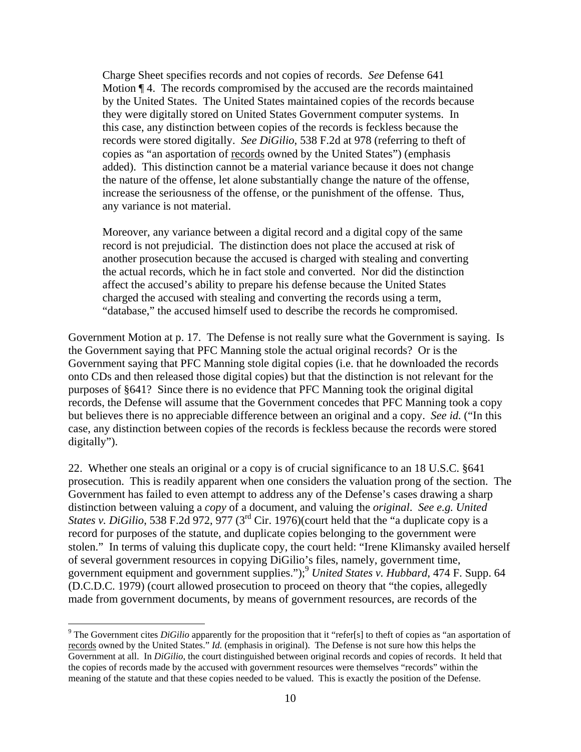Charge Sheet specifies records and not copies of records. *See* Defense 641 Motion ¶ 4. The records compromised by the accused are the records maintained by the United States. The United States maintained copies of the records because they were digitally stored on United States Government computer systems. In this case, any distinction between copies of the records is feckless because the records were stored digitally. *See DiGilio*, 538 F.2d at 978 (referring to theft of copies as "an asportation of records owned by the United States") (emphasis added). This distinction cannot be a material variance because it does not change the nature of the offense, let alone substantially change the nature of the offense, increase the seriousness of the offense, or the punishment of the offense. Thus, any variance is not material.

Moreover, any variance between a digital record and a digital copy of the same record is not prejudicial. The distinction does not place the accused at risk of another prosecution because the accused is charged with stealing and converting the actual records, which he in fact stole and converted. Nor did the distinction affect the accused's ability to prepare his defense because the United States charged the accused with stealing and converting the records using a term, "database," the accused himself used to describe the records he compromised.

Government Motion at p. 17. The Defense is not really sure what the Government is saying. Is the Government saying that PFC Manning stole the actual original records? Or is the Government saying that PFC Manning stole digital copies (i.e. that he downloaded the records onto CDs and then released those digital copies) but that the distinction is not relevant for the purposes of §641? Since there is no evidence that PFC Manning took the original digital records, the Defense will assume that the Government concedes that PFC Manning took a copy but believes there is no appreciable difference between an original and a copy. *See id.* ("In this case, any distinction between copies of the records is feckless because the records were stored digitally").

22. Whether one steals an original or a copy is of crucial significance to an 18 U.S.C. §641 prosecution. This is readily apparent when one considers the valuation prong of the section. The Government has failed to even attempt to address any of the Defense's cases drawing a sharp distinction between valuing a *copy* of a document, and valuing the *original*. *See e.g. United States v. DiGilio,* 538 F.2d 972, 977 (3<sup>rd</sup> Cir. 1976)(court held that the "a duplicate copy is a record for purposes of the statute, and duplicate copies belonging to the government were stolen." In terms of valuing this duplicate copy, the court held: "Irene Klimansky availed herself of several government resources in copying DiGilio's files, namely, government time, government equipment and government supplies.");<sup>9</sup> *United States v. Hubbard*, 474 F. Supp. 64 (D.C.D.C. 1979) (court allowed prosecution to proceed on theory that "the copies, allegedly made from government documents, by means of government resources, are records of the

 $\overline{a}$ 

<sup>&</sup>lt;sup>9</sup> The Government cites *DiGilio* apparently for the proposition that it "refer[s] to theft of copies as "an asportation of records owned by the United States." *Id.* (emphasis in original). The Defense is not sure how this helps the Government at all. In *DiGilio*, the court distinguished between original records and copies of records. It held that the copies of records made by the accused with government resources were themselves "records" within the meaning of the statute and that these copies needed to be valued. This is exactly the position of the Defense.